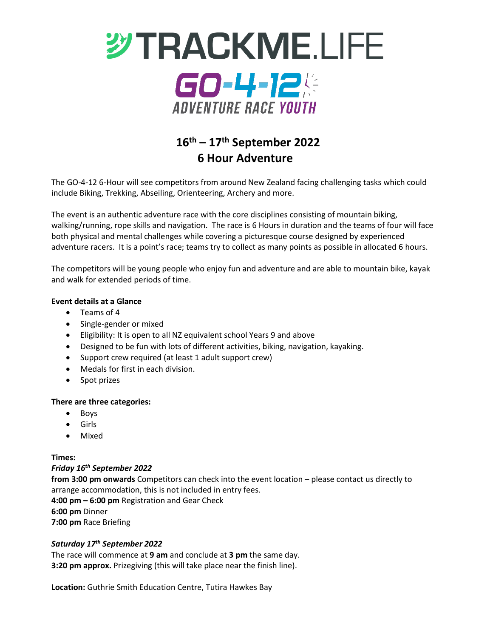

# **16th – 17th September 2022 6 Hour Adventure**

The GO-4-12 6-Hour will see competitors from around New Zealand facing challenging tasks which could include Biking, Trekking, Abseiling, Orienteering, Archery and more.

The event is an authentic adventure race with the core disciplines consisting of mountain biking, walking/running, rope skills and navigation. The race is 6 Hours in duration and the teams of four will face both physical and mental challenges while covering a picturesque course designed by experienced adventure racers. It is a point's race; teams try to collect as many points as possible in allocated 6 hours.

The competitors will be young people who enjoy fun and adventure and are able to mountain bike, kayak and walk for extended periods of time.

### **Event details at a Glance**

- Teams of 4
- Single-gender or mixed
- Eligibility: It is open to all NZ equivalent school Years 9 and above
- Designed to be fun with lots of different activities, biking, navigation, kayaking.
- Support crew required (at least 1 adult support crew)
- Medals for first in each division.
- Spot prizes

### **There are three categories:**

- Boys
- Girls
- Mixed

### **Times:**

### *Friday 16th September 2022*

**from 3:00 pm onwards** Competitors can check into the event location – please contact us directly to arrange accommodation, this is not included in entry fees. **4:00 pm – 6:00 pm** Registration and Gear Check **6:00 pm** Dinner

**7:00 pm** Race Briefing

### *Saturday 17th September 2022*

The race will commence at **9 am** and conclude at **3 pm** the same day. **3:20 pm approx.** Prizegiving (this will take place near the finish line).

**Location:** Guthrie Smith Education Centre, Tutira Hawkes Bay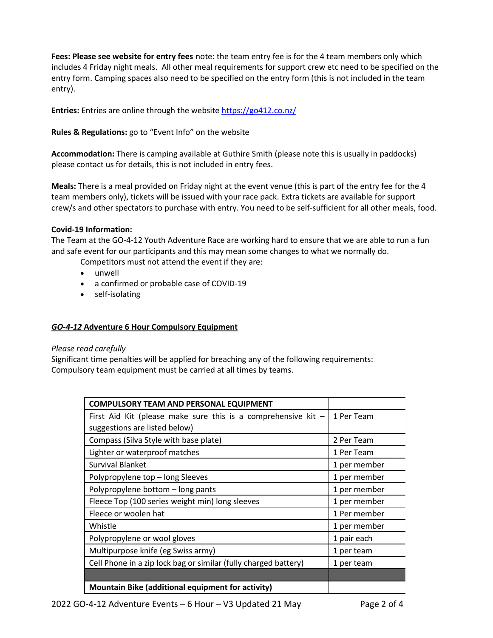**Fees: Please see website for entry fees** note: the team entry fee is for the 4 team members only which includes 4 Friday night meals. All other meal requirements for support crew etc need to be specified on the entry form. Camping spaces also need to be specified on the entry form (this is not included in the team entry).

**Entries:** Entries are online through the website<https://go412.co.nz/>

## **Rules & Regulations:** go to "Event Info" on the website

**Accommodation:** There is camping available at Guthire Smith (please note this is usually in paddocks) please contact us for details, this is not included in entry fees.

**Meals:** There is a meal provided on Friday night at the event venue (this is part of the entry fee for the 4 team members only), tickets will be issued with your race pack. Extra tickets are available for support crew/s and other spectators to purchase with entry. You need to be self-sufficient for all other meals, food.

### **Covid-19 Information:**

The Team at the GO-4-12 Youth Adventure Race are working hard to ensure that we are able to run a fun and safe event for our participants and this may mean some changes to what we normally do.

Competitors must not attend the event if they are:

- unwell
- a confirmed or probable case of COVID-19
- self-isolating

### *GO-4-12* **Adventure 6 Hour Compulsory Equipment**

### *Please read carefully*

Significant time penalties will be applied for breaching any of the following requirements: Compulsory team equipment must be carried at all times by teams.

| <b>COMPULSORY TEAM AND PERSONAL EQUIPMENT</b>                   |              |
|-----------------------------------------------------------------|--------------|
| First Aid Kit (please make sure this is a comprehensive kit $-$ | 1 Per Team   |
| suggestions are listed below)                                   |              |
| Compass (Silva Style with base plate)                           | 2 Per Team   |
| Lighter or waterproof matches                                   | 1 Per Team   |
| <b>Survival Blanket</b>                                         | 1 per member |
| Polypropylene top – long Sleeves                                | 1 per member |
| Polypropylene bottom - long pants                               | 1 per member |
| Fleece Top (100 series weight min) long sleeves                 | 1 per member |
| Fleece or woolen hat                                            | 1 Per member |
| Whistle                                                         | 1 per member |
| Polypropylene or wool gloves                                    | 1 pair each  |
| Multipurpose knife (eg Swiss army)                              | 1 per team   |
| Cell Phone in a zip lock bag or similar (fully charged battery) | 1 per team   |
|                                                                 |              |
| Mountain Bike (additional equipment for activity)               |              |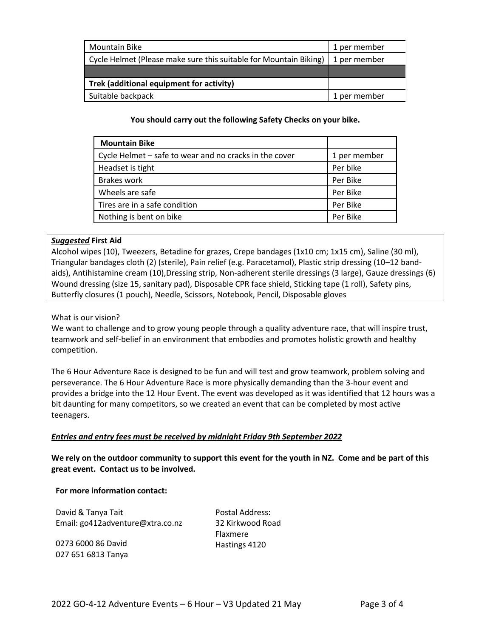| <b>Mountain Bike</b>                                              | 1 per member |
|-------------------------------------------------------------------|--------------|
| Cycle Helmet (Please make sure this suitable for Mountain Biking) | 1 per member |
|                                                                   |              |
| Trek (additional equipment for activity)                          |              |
| Suitable backpack                                                 | 1 per member |

**You should carry out the following Safety Checks on your bike.**

| <b>Mountain Bike</b>                                   |              |
|--------------------------------------------------------|--------------|
| Cycle Helmet – safe to wear and no cracks in the cover | 1 per member |
| Headset is tight                                       | Per bike     |
| <b>Brakes work</b>                                     | Per Bike     |
| Wheels are safe                                        | Per Bike     |
| Tires are in a safe condition                          | Per Bike     |
| Nothing is bent on bike                                | Per Bike     |

### *Suggested* **First Aid**

Alcohol wipes (10), Tweezers, Betadine for grazes, Crepe bandages (1x10 cm; 1x15 cm), Saline (30 ml), Triangular bandages cloth (2) (sterile), Pain relief (e.g. Paracetamol), Plastic strip dressing (10–12 bandaids), Antihistamine cream (10),Dressing strip, Non-adherent sterile dressings (3 large), Gauze dressings (6) Wound dressing (size 15, sanitary pad), Disposable CPR face shield, Sticking tape (1 roll), Safety pins, Butterfly closures (1 pouch), Needle, Scissors, Notebook, Pencil, Disposable gloves

What is our vision?

We want to challenge and to grow young people through a quality adventure race, that will inspire trust, teamwork and self-belief in an environment that embodies and promotes holistic growth and healthy competition.

The 6 Hour Adventure Race is designed to be fun and will test and grow teamwork, problem solving and perseverance. The 6 Hour Adventure Race is more physically demanding than the 3-hour event and provides a bridge into the 12 Hour Event. The event was developed as it was identified that 12 hours was a bit daunting for many competitors, so we created an event that can be completed by most active teenagers.

### *Entries and entry fees must be received by midnight Friday 9th September 2022*

**We rely on the outdoor community to support this event for the youth in NZ. Come and be part of this great event. Contact us to be involved.**

#### **For more information contact:**

David & Tanya Tait Email: go412adventure@xtra.co.nz

0273 6000 86 David 027 651 6813 Tanya

Postal Address: 32 Kirkwood Road Flaxmere Hastings 4120